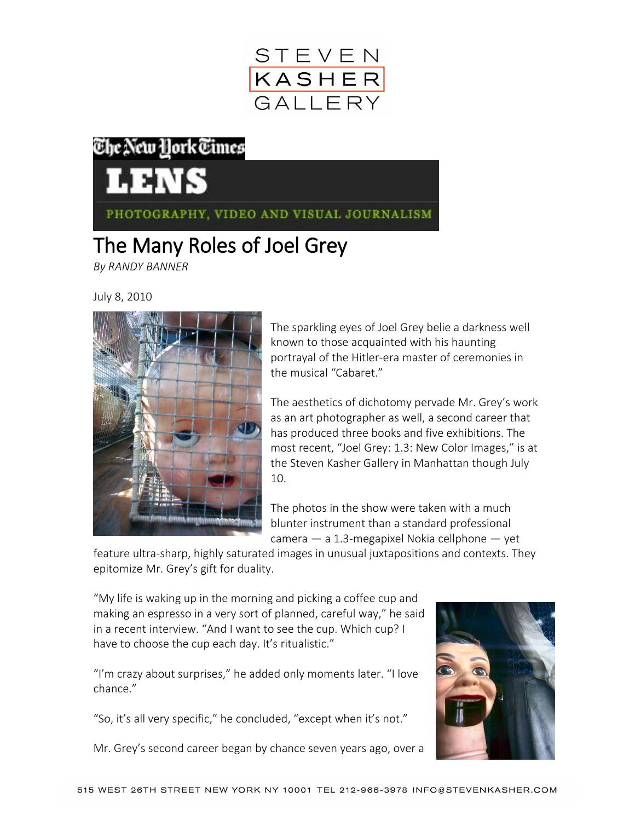

## The New York Times

PHOTOGRAPHY, VIDEO AND VISUAL JOURNALISM

## The Many Roles of Joel Grey

*By RANDY BANNER*

July 8, 2010



The sparkling eyes of [Joel Grey](http://www.joelgreyphotographer.com/) belie a darkness well known to those acquainted with his haunting portrayal of the Hitler-era master of ceremonies in the musical "Cabaret."

The aesthetics of dichotomy pervade Mr. Grey's work as an art photographer as well, a second career that has produced three books and five exhibitions. The most recent, "[Joel Grey: 1.3: New Color Images](http://www.stevenkasher.com/html/exhibresults.asp?exnum=1207&exname=JOEL+GREY%3A+1.3%3A+New+Color+Images)," is at the Steven Kasher Gallery in Manhattan though July 10.

The photos in the show were taken with a much blunter instrument than a standard professional camera  $-$  a 1.3-megapixel Nokia cellphone  $-$  yet

feature ultra-sharp, highly saturated images in unusual juxtapositions and contexts. They epitomize Mr. Grey's gift for duality.

"My life is waking up in the morning and picking a coffee cup and making an espresso in a very sort of planned, careful way," he said in a recent interview. "And I want to see the cup. Which cup? I have to choose the cup each day. It's ritualistic."

"I'm crazy about surprises," he added only moments later. "I love chance."

"So, it's all very specific," he concluded, "except when it's not."

Mr. Grey's second career began by chance seven years ago, over a

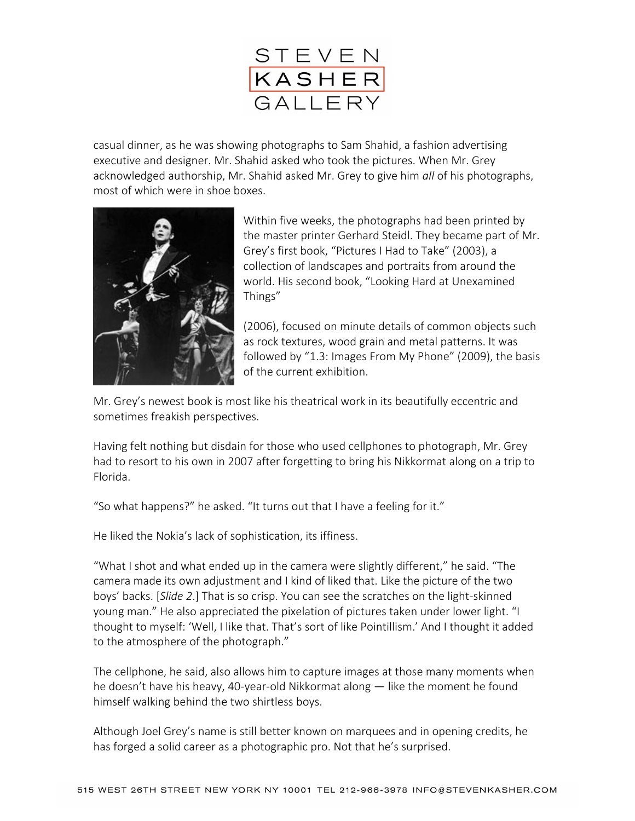

casual dinner, as he was showing photographs to Sam Shahid, a fashion advertising executive and designer. Mr. Shahid asked who took the pictures. When Mr. Grey acknowledged authorship, Mr. Shahid asked Mr. Grey to give him *all* of his photographs, most of which were in shoe boxes.



Within five weeks, the photographs had been printed by the master printer Gerhard Steidl. They became part of Mr. Grey's first book, "Pictures I Had to Take" (2003), a collection of landscapes and portraits from around the world. His second book, "Looking Hard at Unexamined Things"

(2006), focused on minute details of common objects such as rock textures, wood grain and metal patterns. It was followed by "[1.3: Images From My Phone](http://www.imagesfrommyphonejoelgrey.com/)" (2009), the basis of the current exhibition.

Mr. Grey's newest book is most like his theatrical work in its beautifully eccentric and sometimes freakish perspectives.

Having felt nothing but disdain for those who used cellphones to photograph, Mr. Grey had to resort to his own in 2007 after forgetting to bring his Nikkormat along on a trip to Florida.

"So what happens?" he asked. "It turns out that I have a feeling for it."

He liked the Nokia's lack of sophistication, its iffiness.

"What I shot and what ended up in the camera were slightly different," he said. "The camera made its own adjustment and I kind of liked that. Like the picture of the two boys' backs. [*Slide 2*.] That is so crisp. You can see the scratches on the light-skinned young man." He also appreciated the pixelation of pictures taken under lower light. "I thought to myself: 'Well, I like that. That's sort of like Pointillism.' And I thought it added to the atmosphere of the photograph."

The cellphone, he said, also allows him to capture images at those many moments when he doesn't have his heavy, 40-year-old Nikkormat along — like the moment he found himself walking behind the two shirtless boys.

Although Joel Grey's name is still better known on marquees and in opening credits, he has forged a solid career as a photographic pro. Not that he's surprised.